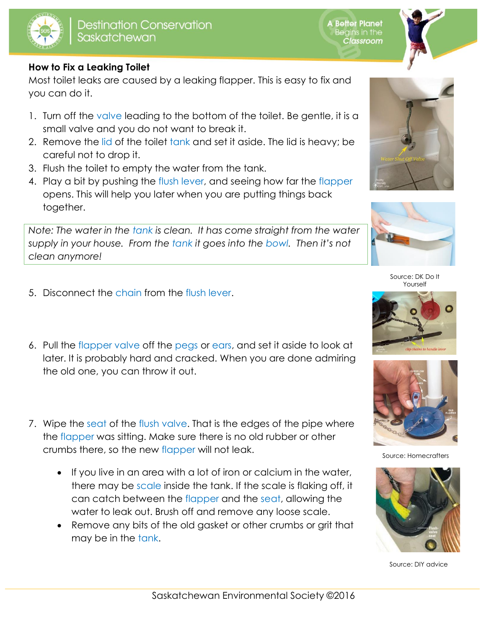



## **How to Fix a Leaking Toilet**

Most toilet leaks are caused by a leaking flapper. This is easy to fix and you can do it.

- 1. Turn off the valve leading to the bottom of the toilet. Be gentle, it is a small valve and you do not want to break it.
- 2. Remove the lid of the toilet tank and set it aside. The lid is heavy; be careful not to drop it.
- 3. Flush the toilet to empty the water from the tank.
- 4. Play a bit by pushing the flush lever, and seeing how far the flapper opens. This will help you later when you are putting things back together.

*Note: The water in the tank is clean. It has come straight from the water supply in your house. From the tank it goes into the bowl. Then it's not clean anymore!*

- 5. Disconnect the chain from the flush lever.
- 6. Pull the flapper valve off the pegs or ears, and set it aside to look at later. It is probably hard and cracked. When you are done admiring the old one, you can throw it out.
- 7. Wipe the seat of the flush valve. That is the edges of the pipe where the flapper was sitting. Make sure there is no old rubber or other crumbs there, so the new flapper will not leak.
	- If you live in an area with a lot of iron or calcium in the water, there may be scale inside the tank. If the scale is flaking off, it can catch between the flapper and the seat, allowing the water to leak out. Brush off and remove any loose scale.
	- Remove any bits of the old gasket or other crumbs or grit that may be in the tank.





Source: DK Do It Yourself





Source: Homecrafters



Source: DIY advice